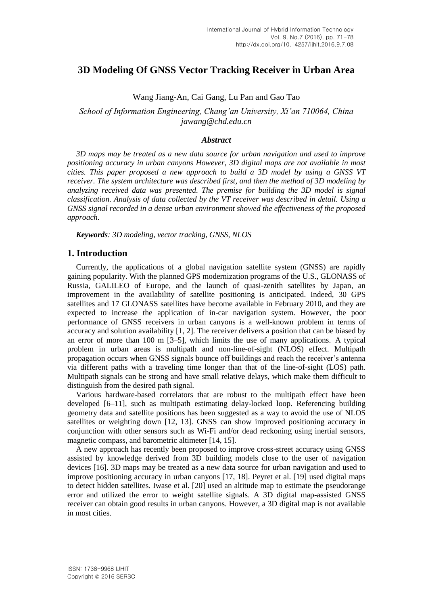# **3D Modeling Of GNSS Vector Tracking Receiver in Urban Area**

Wang Jiang-An, Cai Gang, Lu Pan and Gao Tao

*School of Information Engineering, Chang'an University, Xi'an 710064, China jawang@chd.edu.cn*

### *Abstract*

*3D maps may be treated as a new data source for urban navigation and used to improve positioning accuracy in urban canyons However, 3D digital maps are not available in most cities. This paper proposed a new approach to build a 3D model by using a GNSS VT receiver. The system architecture was described first, and then the method of 3D modeling by analyzing received data was presented. The premise for building the 3D model is signal classification. Analysis of data collected by the VT receiver was described in detail. Using a GNSS signal recorded in a dense urban environment showed the effectiveness of the proposed approach.*

*Keywords: 3D modeling, vector tracking, GNSS, NLOS*

### **1. Introduction**

Currently, the applications of a global navigation satellite system (GNSS) are rapidly gaining popularity. With the planned GPS modernization programs of the U.S., GLONASS of Russia, GALILEO of Europe, and the launch of quasi-zenith satellites by Japan, an improvement in the availability of satellite positioning is anticipated. Indeed, 30 GPS satellites and 17 GLONASS satellites have become available in February 2010, and they are expected to increase the application of in-car navigation system. However, the poor performance of GNSS receivers in urban canyons is a well-known problem in terms of accuracy and solution availability [1, 2]. The receiver delivers a position that can be biased by an error of more than  $100 \text{ m}$  [3–5], which limits the use of many applications. A typical problem in urban areas is multipath and non-line-of-sight (NLOS) effect. Multipath propagation occurs when GNSS signals bounce off buildings and reach the receiver's antenna via different paths with a traveling time longer than that of the line-of-sight (LOS) path. Multipath signals can be strong and have small relative delays, which make them difficult to distinguish from the desired path signal.

Various hardware-based correlators that are robust to the multipath effect have been developed [6–11], such as multipath estimating delay-locked loop. Referencing building geometry data and satellite positions has been suggested as a way to avoid the use of NLOS satellites or weighting down [12, 13]. GNSS can show improved positioning accuracy in conjunction with other sensors such as Wi-Fi and/or dead reckoning using inertial sensors, magnetic compass, and barometric altimeter [14, 15].

A new approach has recently been proposed to improve cross-street accuracy using GNSS assisted by knowledge derived from 3D building models close to the user of navigation devices [16]. 3D maps may be treated as a new data source for urban navigation and used to improve positioning accuracy in urban canyons [17, 18]. Peyret et al. [19] used digital maps to detect hidden satellites. Iwase et al. [20] used an altitude map to estimate the pseudorange error and utilized the error to weight satellite signals. A 3D digital map-assisted GNSS receiver can obtain good results in urban canyons. However, a 3D digital map is not available in most cities.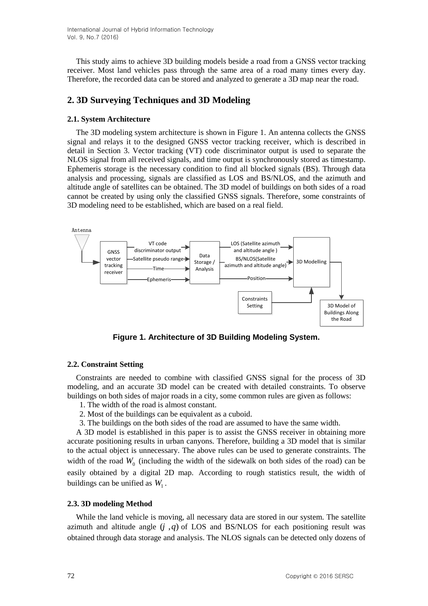International Journal of Hybrid Information Technology Vol. 9, No.7 (2016)

This study aims to achieve 3D building models beside a road from a GNSS vector tracking receiver. Most land vehicles pass through the same area of a road many times every day. Therefore, the recorded data can be stored and analyzed to generate a 3D map near the road.

### **2. 3D Surveying Techniques and 3D Modeling**

#### **2.1. System Architecture**

The 3D modeling system architecture is shown in Figure 1. An antenna collects the GNSS signal and relays it to the designed GNSS vector tracking receiver, which is described in detail in Section 3. Vector tracking (VT) code discriminator output is used to separate the NLOS signal from all received signals, and time output is synchronously stored as timestamp. Ephemeris storage is the necessary condition to find all blocked signals (BS). Through data analysis and processing, signals are classified as LOS and BS/NLOS, and the azimuth and altitude angle of satellites can be obtained. The 3D model of buildings on both sides of a road cannot be created by using only the classified GNSS signals. Therefore, some constraints of 3D modeling need to be established, which are based on a real field.



**Figure 1. Architecture of 3D Building Modeling System.**

#### **2.2. Constraint Setting**

Constraints are needed to combine with classified GNSS signal for the process of 3D modeling, and an accurate 3D model can be created with detailed constraints. To observe buildings on both sides of major roads in a city, some common rules are given as follows:

- 1. The width of the road is almost constant.
- 2. Most of the buildings can be equivalent as a cuboid.
- 3. The buildings on the both sides of the road are assumed to have the same width.

A 3D model is established in this paper is to assist the GNSS receiver in obtaining more accurate positioning results in urban canyons. Therefore, building a 3D model that is similar to the actual object is unnecessary. The above rules can be used to generate constraints. The width of the road  $W_0$  (including the width of the sidewalk on both sides of the road) can be easily obtained by a digital 2D map. According to rough statistics result, the width of buildings can be unified as  $W_1$ .

#### **2.3. 3D modeling Method**

While the land vehicle is moving, all necessary data are stored in our system. The satellite azimuth and altitude angle  $(j, q)$  of LOS and BS/NLOS for each positioning result was obtained through data storage and analysis. The NLOS signals can be detected only dozens of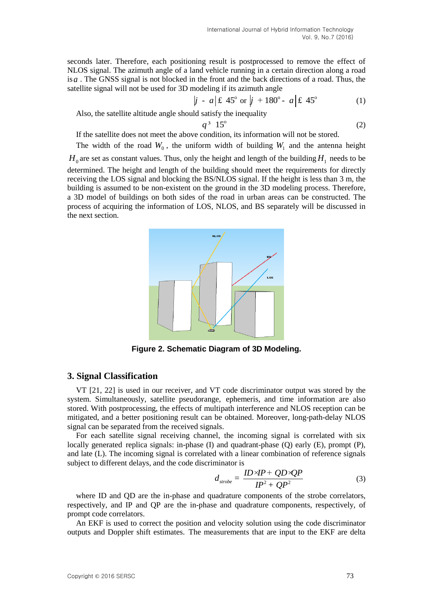seconds later. Therefore, each positioning result is postprocessed to remove the effect of NLOS signal. The azimuth angle of a land vehicle running in a certain direction along a road is *a* . The GNSS signal is not blocked in the front and the back directions of a road. Thus, the satellite signal will not be used for 3D modeling if its azimuth angle

$$
|j - a|
$$
 £ 45° or  $|j + 180° - a|$  £ 45° (1)

Also, the satellite altitude angle should satisfy the inequality

$$
q^3 \t15^\circ \t\t(2)
$$

If the satellite does not meet the above condition, its information will not be stored.

The width of the road  $W_0$ , the uniform width of building  $W_1$  and the antenna height  $H_0$  are set as constant values. Thus, only the height and length of the building  $H_1$  needs to be determined. The height and length of the building should meet the requirements for directly receiving the LOS signal and blocking the BS/NLOS signal. If the height is less than 3 m, the building is assumed to be non-existent on the ground in the 3D modeling process. Therefore, a 3D model of buildings on both sides of the road in urban areas can be constructed. The process of acquiring the information of LOS, NLOS, and BS separately will be discussed in the next section.



**Figure 2. Schematic Diagram of 3D Modeling.**

### **3. Signal Classification**

VT [21, 22] is used in our receiver, and VT code discriminator output was stored by the system. Simultaneously, satellite pseudorange, ephemeris, and time information are also stored. With postprocessing, the effects of multipath interference and NLOS reception can be mitigated, and a better positioning result can be obtained. Moreover, long-path-delay NLOS signal can be separated from the received signals.

For each satellite signal receiving channel, the incoming signal is correlated with six locally generated replica signals: in-phase (I) and quadrant-phase (Q) early (E), prompt (P), and late (L). The incoming signal is correlated with a linear combination of reference signals subject to different delays, and the code discriminator is

$$
d_{\text{probe}} = \frac{ID \times IP + QD \times QP}{IP^2 + QP^2} \tag{3}
$$

where ID and QD are the in-phase and quadrature components of the strobe correlators, respectively, and IP and QP are the in-phase and quadrature components, respectively, of prompt code correlators.

An EKF is used to correct the position and velocity solution using the code discriminator outputs and Doppler shift estimates. The measurements that are input to the EKF are delta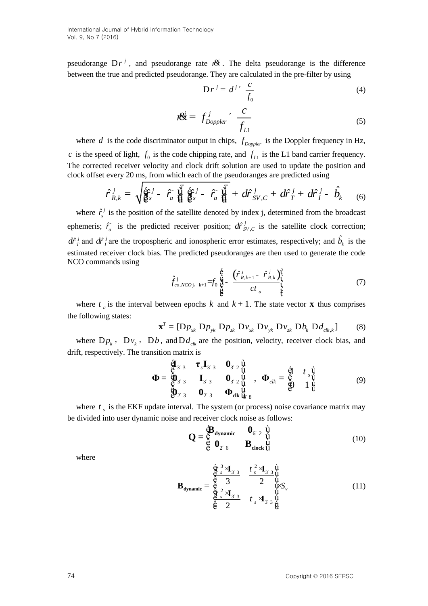pseudorange  $Dr^{j}$ , and pseudorange rate  $r^{j}$ . The delta pseudorange is the difference between the true and predicted pseudorange. They are calculated in the pre-filter by using

$$
Dr^{j} = d^{j} \frac{c}{f_0}
$$
 (4)

$$
n\ddot{\mathcal{E}} = f_{Doppler}^j \frac{c}{f_{L1}} \tag{5}
$$

where  $d$  is the code discriminator output in chips,  $f_{Doppler}$  is the Doppler frequency in Hz, *c* is the speed of light,  $f_0$  is the code chipping rate, and  $f_{L1}$  is the L1 band carrier frequency.

The corrected receiver velocity and clock drift solution are used to update the position and clock offset every 20 ms, from which each of the pseudoranges are predicted using\n
$$
\hat{r}_{R,k}^j = \sqrt{\hat{g}_s^c} \hat{j} - \hat{r}_a^c \frac{\hat{V}}{\hat{H}} \hat{g}_s^c \hat{g}_s^j - \hat{r}_a^c \frac{\hat{V}}{\hat{H}} + d\hat{r}_{SV,C}^j + d\hat{r}_T^j + d\hat{r}_I^j - \hat{b}_k
$$
\n(6)

where  $\hat{r}_{s}^{j}$  $\hat{r}_s^j$  is the position of the satellite denoted by index j, determined from the broadcast ephemeris;  $\hat{r}_a$  is the predicted receiver position;  $d\hat{r}_{SV,C}^j$  is the satellite clock correction;  $d\hat{r}_I^j$  and  $d\hat{r}_I^j$  are the tropospheric and ionospheric error estimates, respectively; and  $\hat{b}_k$  is the estimated receiver clock bias. The predicted pseudoranges are then used to generate the code NCO commands using

$$
\hat{f}_{co,NCOj, k+1}^{j} = f_0 \frac{\hat{\mathbf{e}}}{\hat{\mathbf{e}}^{j}} - \frac{(\hat{r}_{R,k+1}^{j} - \hat{r}_{R,k}^{j})_{\psi}^{j}}{ct_{a}} \qquad (7)
$$

where  $t_a$  is the interval between epochs  $k$  and  $k + 1$ . The state vector **x** thus comprises<br>following states:<br> $\mathbf{x}^T = [\mathbf{D}p_{xk} \ \mathbf{D}p_{yk} \ \mathbf{D}p_{xk} \ \mathbf{D}v_{xk} \ \mathbf{D}v_{zk} \ \mathbf{D}v_{zk} \ \mathbf{D}b_k \ \mathbf{D}d_{clk,k}]$  (8) the following states:

$$
\mathbf{x}^T = [\mathbf{D}p_{xk} \ \mathbf{D}p_{yk} \ \mathbf{D}p_{zk} \ \mathbf{D}v_{xk} \ \mathbf{D}v_{yk} \ \mathbf{D}v_{zk} \ \mathbf{D}b_k \ \mathbf{D}d_{clk,k}] \tag{8}
$$

where  $Dp_k$ ,  $Dv_k$ ,  $Db$ , and  $Dd_{ck}$  are the position, velocity, receiver clock bias, and drift, respectively. The transition matrix is<br>  $\oint_{\mathbf{C}} \mathbf{J}_3 \cdot \mathbf{J}_5 \mathbf{I}_3 = \mathbf{0}$ matrix is<br> $\hat{\mathbf{g}}_{3}$   $\mathbf{\tau}_{s}$ **I**<sub>3</sub>  $\mathbf{0}_{3}$   $\hat{\mathbf{u}}_{1}$ 

$$
\mathbf{\Phi} = \begin{pmatrix} \mathbf{\hat{q}}_{33} & \mathbf{\hat{\tau}}_{s1} & \mathbf{0}_{32} & \mathbf{\hat{q}}_{33} \\ \mathbf{\hat{q}}_{33} & \mathbf{\hat{\tau}}_{s1} & \mathbf{0}_{32} & \mathbf{\hat{q}}_{33} \\ \mathbf{\Phi} = \begin{pmatrix} \mathbf{\hat{q}}_{33} & \mathbf{\hat{q}}_{33} & \mathbf{0}_{32} & \mathbf{\hat{q}}_{33} \\ \mathbf{\hat{q}}_{33} & \mathbf{I}_{33} & \mathbf{0}_{32} & \mathbf{\hat{q}}_{33} & \mathbf{\hat{q}}_{33} \\ \mathbf{\hat{q}}_{32} & \mathbf{0}_{33} & \mathbf{\Phi}_{ck} & \mathbf{\hat{q}}_{33} \\ \mathbf{\hat{q}}_{33} & \mathbf{\hat{q}}_{33} & \mathbf{\hat{q}}_{33} & \mathbf{\hat{q}}_{33} \\ \mathbf{\hat{q}}_{33} & \mathbf{\hat{q}}_{33} & \mathbf{\hat{q}}_{33} & \mathbf{\hat{q}}_{33} \\ \mathbf{\hat{q}}_{33} & \mathbf{\hat{q}}_{33} & \mathbf{\hat{q}}_{33} & \mathbf{\hat{q}}_{33} \\ \mathbf{\hat{q}}_{33} & \mathbf{\hat{q}}_{33} & \mathbf{\hat{q}}_{33} & \mathbf{\hat{q}}_{33} \\ \mathbf{\hat{q}}_{33} & \mathbf{\hat{q}}_{33} & \mathbf{\hat{q}}_{33} & \mathbf{\hat{q}}_{33} \\ \mathbf{\hat{q}}_{33} & \mathbf{\hat{q}}_{33} & \mathbf{\hat{q}}_{33} & \mathbf{\hat{q}}_{33} \\ \mathbf{\hat{q}}_{33} & \mathbf{\hat{q}}_{33} & \mathbf{\hat{q}}_{33} & \mathbf{\hat{q}}_{33} \\ \mathbf{\hat{q}}_{33} & \mathbf{\hat{q}}_{33} & \mathbf{\hat{q}}_{33} & \mathbf{\hat{q}}_{33} \\ \mathbf{\hat{q}}_{33} & \mathbf{\hat{q}}_{33} & \mathbf{\hat{q}}_{33} & \mathbf{\hat{q}}_{33} \\ \mathbf{\hat{q}}_{33} & \math
$$

where  $t_s$  is the EKF update interval. The system (or process) noise covariance matrix may be divided into user dynamic noise and receiver clock noise as follows:

$$
\mathbf{Q} = \mathop{\hat{\mathbf{E}}}\limits_{\hat{\mathbf{C}}} \mathbf{d}_{\text{dynamic}} \qquad \mathbf{0}_{6/2} \qquad \mathop{\hat{\mathbf{U}}}\limits_{\hat{\mathbf{U}}} \qquad \mathop{\mathbf{B}}\limits_{\text{clock}} \mathop{\hat{\mathbf{U}}}\limits_{\hat{\mathbf{U}}} \qquad (10)
$$

where

$$
\mathbf{B}_{\text{dynamic}} = \begin{cases} \frac{\dot{\mathbf{Q}}^3}{\mathbf{Q}} \frac{3}{s} \mathbf{A}_{33} & \frac{t^2}{s} \mathbf{A}_{33} \\ \frac{\dot{\mathbf{Q}}}{\mathbf{Q}} \frac{3}{s} & 2 \\ \frac{\dot{\mathbf{Q}}}{\mathbf{Q}} \frac{2}{s} \mathbf{A}_{33} & \mathbf{U}_{\mathbf{Q}} \\ \frac{\dot{\mathbf{Q}}}{\mathbf{Q}} \frac{2}{s} \mathbf{A}_{33} & \mathbf{U}_{\mathbf{Q}} \\ \frac{\dot{\mathbf{Q}}}{\mathbf{Q}} \frac{2}{s} & t^3 \mathbf{A}_{33} \\ \frac{\dot{\mathbf{Q}}}{\mathbf{Q}} \frac{1}{s} & \mathbf{U}_{\mathbf{Q}} \end{cases} \tag{11}
$$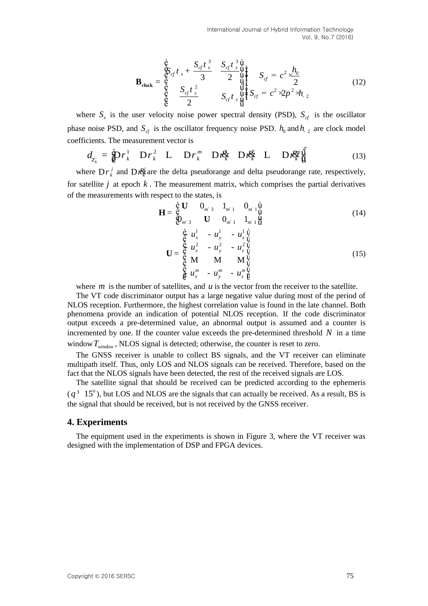International Journal of Hybrid Information Technology Vol. 9, No.7 (2016)

$$
\mathbf{B}_{\text{clock}} = \begin{pmatrix} \dot{\mathbf{e}} & S_{cf}t^{\frac{3}{s}} & S_{cf}t^{\frac{3}{s}}\dot{\mathbf{u}} \\ \dot{\mathbf{e}} & \dot{\mathbf{e}} & 3 & 2 & \dot{\mathbf{u}} \\ \dot{\mathbf{e}} & \dot{\mathbf{e}} & S_{cf}t^{\frac{2}{s}} & S_{cf}t^{\frac{2}{s}}\dot{\mathbf{u}} \\ \dot{\mathbf{e}} & 2 & S_{cf}t^{\frac{2}{s}}\dot{\mathbf{u}} & S_{cf} = c^2 \times 2p^2 \times h_2 \end{pmatrix}
$$
(12)

where  $S_{v}$  is the user velocity noise power spectral density (PSD),  $S_{cf}$  is the oscillator phase noise PSD, and  $S_{cf}$  is the oscillator frequency noise PSD.  $h_0$  and  $h_2$  are clock model coefficients. The measurement vector is<br>  $d_{Z_k} = \oint_C r_k^1 D r_k^2 L D r_k^m D r_k^d L D r_k^g L (13)$ <br>  $\int_C r_k^2 L P = \int_C r_k^2 L D r_k^m D r_k^d L D r_k^d$ coefficients. The measurement vector is<br>  $d = \mathbf{\hat{D}} r_i^1 \mathbf{D} r_i^2 \mathbf{L} \mathbf{D} r_i^m \mathbf{D} r \mathbf{\hat{R}} \mathbf{D} r \mathbf{\hat{R}}$ *m m*

$$
d_{Z_k} = \oint_C \mathbf{P}_k^1 \mathbf{D} r_k^2 \mathbf{L} \mathbf{D} r_k^m \mathbf{D} r_k^d \mathbf{D} r_k^d \mathbf{L} \mathbf{D} r_k^c \mathbf{V}^T
$$
 (13)

where  $Dr_k^j$  and  $Dr_k^k$  are the delta pseudorange and delta pseudorange rate, respectively, for satellite  $j$  at epoch  $k$ . The measurement matrix, which comprises the partial derivatives of the measurements with respect to the states, is<br>  $\mathbf{F} = \begin{pmatrix} \mathbf{\dot{\xi}} & \mathbf{U} & \mathbf{0}_{m^2} & \mathbf{1}_{m^2} & \mathbf{0}_{m^2} \end{pmatrix}$ 

$$
\mathbf{H} = \begin{pmatrix} \dot{\mathbf{c}} & \mathbf{U} & \mathbf{0}_{m^2} & \mathbf{1}_{m^2} & \mathbf{0}_{m^2} \\ \mathbf{C} & \mathbf{U} & \mathbf{0}_{m^2} & \mathbf{1}_{m^2} & \mathbf{0}_{m^2} \\ \mathbf{C} & \mathbf{0}_{m^2} & \mathbf{U} & \mathbf{0}_{m^2} & \mathbf{1}_{m^2} & \mathbf{U} \\ \mathbf{U} & \mathbf{0}_{m^2} & \mathbf{1}_{m^2} & \mathbf{U} & \mathbf{0}_{m^2} & \mathbf{U} \end{pmatrix} \tag{14}
$$

$$
\mathbf{U} = \begin{cases} \n\dot{\mathbf{e}} & u_x^1 - u_y^1 - u_z^1 \dot{\mathbf{u}} \\ \n\dot{\mathbf{e}} & u_x^2 - u_y^2 - u_z^2 \dot{\mathbf{u}} \\ \n\dot{\mathbf{e}} & \mathbf{M} & \mathbf{M} & \mathbf{M} \\ \n\dot{\mathbf{e}} & u_x^m - u_y^m - u_z^m \dot{\mathbf{u}} \n\end{cases}
$$
\n(15)

where  $m$  is the number of satellites, and  $u$  is the vector from the receiver to the satellite.

The VT code discriminator output has a large negative value during most of the period of NLOS reception. Furthermore, the highest correlation value is found in the late channel. Both phenomena provide an indication of potential NLOS reception. If the code discriminator output exceeds a pre-determined value, an abnormal output is assumed and a counter is incremented by one. If the counter value exceeds the pre-determined threshold  $N$  in a time window *Twindow* , NLOS signal is detected; otherwise, the counter is reset to zero.

The GNSS receiver is unable to collect BS signals, and the VT receiver can eliminate multipath itself. Thus, only LOS and NLOS signals can be received. Therefore, based on the fact that the NLOS signals have been detected, the rest of the received signals are LOS.

The satellite signal that should be received can be predicted according to the ephemeris  $(q^3 \t15^\circ)$ , but LOS and NLOS are the signals that can actually be received. As a result, BS is the signal that should be received, but is not received by the GNSS receiver.

#### **4. Experiments**

The equipment used in the experiments is shown in Figure 3, where the VT receiver was designed with the implementation of DSP and FPGA devices.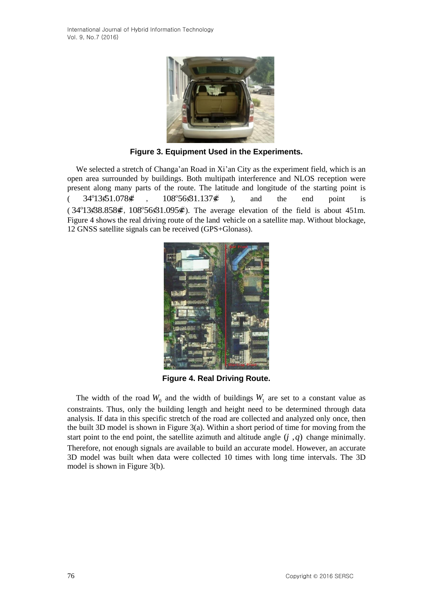

**Figure 3. Equipment Used in the Experiments.**

We selected a stretch of Changa'an Road in Xi'an City as the experiment field, which is an open area surrounded by buildings. Both multipath interference and NLOS reception were present along many parts of the route. The latitude and longitude of the starting point is (  $34^{\circ}13\$1.078\%$ 108°56\$1.137¢ ), and the end point is  $(34^{\circ}13\cdot 88.858\cdot 108^{\circ}56\cdot 81.095\cdot 6)$ . The average elevation of the field is about 451m. Figure 4 shows the real driving route of the land vehicle on a satellite map. Without blockage, 12 GNSS satellite signals can be received (GPS+Glonass).



**Figure 4. Real Driving Route.** 

The width of the road  $W_0$  and the width of buildings  $W_1$  are set to a constant value as constraints. Thus, only the building length and height need to be determined through data analysis. If data in this specific stretch of the road are collected and analyzed only once, then the built 3D model is shown in Figure 3(a). Within a short period of time for moving from the start point to the end point, the satellite azimuth and altitude angle  $(j, q)$  change minimally. Therefore, not enough signals are available to build an accurate model. However, an accurate 3D model was built when data were collected 10 times with long time intervals. The 3D model is shown in Figure 3(b).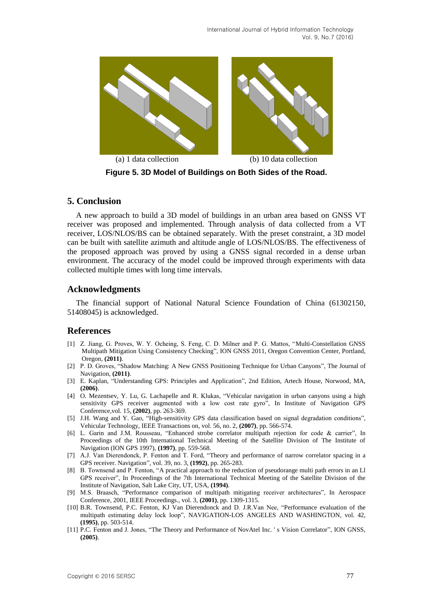

**Figure 5. 3D Model of Buildings on Both Sides of the Road.**

### **5. Conclusion**

A new approach to build a 3D model of buildings in an urban area based on GNSS VT receiver was proposed and implemented. Through analysis of data collected from a VT receiver, LOS/NLOS/BS can be obtained separately. With the preset constraint, a 3D model can be built with satellite azimuth and altitude angle of LOS/NLOS/BS. The effectiveness of the proposed approach was proved by using a GNSS signal recorded in a dense urban environment. The accuracy of the model could be improved through experiments with data collected multiple times with long time intervals.

## **Acknowledgments**

The financial support of National Natural Science Foundation of China (61302150, 51408045) is acknowledged.

# **References**

- [1] Z. Jiang, G. Proves, W. Y. Ocheing, S. Feng, C. D. Milner and P. G. Mattos, "Multi-Constellation GNSS Multipath Mitigation Using Consistency Checking", ION GNSS 2011, Oregon Convention Center, Portland, Oregon, **(2011)**.
- [2] P. D. Groves, "Shadow Matching: A New GNSS Positioning Technique for Urban Canyons", The Journal of Navigation, **(2011)**.
- [3] E. Kaplan, "Understanding GPS: Principles and Application", 2nd Edition, Artech House, Norwood, MA, **(2006)**.
- [4] O. Mezentsev, Y. Lu, G. Lachapelle and R. Klukas, "Vehicular navigation in urban canyons using a high sensitivity GPS receiver augmented with a low cost rate gyro", In Institute of Navigation GPS Conference,vol. 15, **(2002)**, pp. 263-369.
- [5] J.H. Wang and Y. Gao, "High-sensitivity GPS data classification based on signal degradation conditions", Vehicular Technology, IEEE Transactions on, vol. 56, no. 2, **(2007)**, pp. 566-574.
- [6] L. Garin and J.M. Rousseau, "Enhanced strobe correlator multipath rejection for code & carrier", In Proceedings of the 10th International Technical Meeting of the Satellite Division of The Institute of Navigation (ION GPS 1997), **(1997)**, pp. 559-568.
- [7] A.J. Van Dierendonck, P. Fenton and T. Ford, "Theory and performance of narrow correlator spacing in a GPS receiver. Navigation", vol. 39, no. 3, **(1992)**, pp. 265-283.
- [8] B. Townsend and P. Fenton, "A practical approach to the reduction of pseudorange multi path errors in an Ll GPS receiver", In Proceedings of the 7th International Technical Meeting of the Satellite Division of the Institute of Navigation, Salt Lake City, UT, USA, **(1994)**.
- [9] M.S. Braasch, "Performance comparison of multipath mitigating receiver architectures", In Aerospace Conference, 2001, IEEE Proceedings., vol. 3, **(2001)**, pp. 1309-1315.
- [10] B.R. Townsend, P.C. Fenton, KJ Van Dierendonck and D. J.R.Van Nee, "Performance evaluation of the multipath estimating delay lock loop", NAVIGATION-LOS ANGELES AND WASHINGTON, vol. 42, **(1995)**, pp. 503-514.
- [11] P.C. Fenton and J. Jones, "The Theory and Performance of NovAtel Inc. ' s Vision Correlator", ION GNSS, **(2005)**.